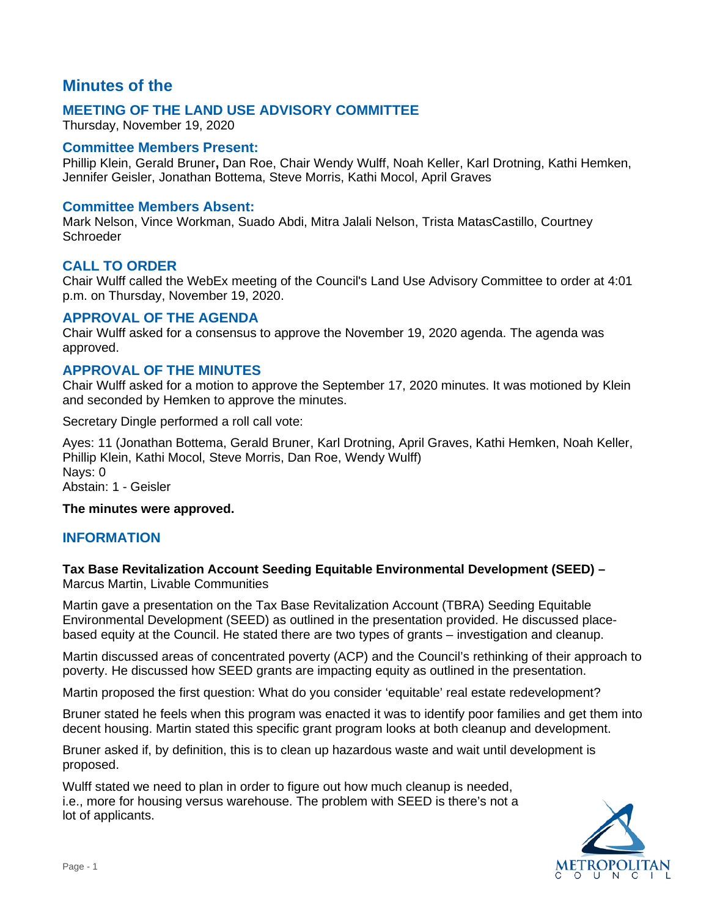# **Minutes of the**

## **MEETING OF THE LAND USE ADVISORY COMMITTEE**

Thursday, November 19, 2020

## **Committee Members Present:**

Phillip Klein, Gerald Bruner**,** Dan Roe, Chair Wendy Wulff, Noah Keller, Karl Drotning, Kathi Hemken, Jennifer Geisler, Jonathan Bottema, Steve Morris, Kathi Mocol, April Graves

### **Committee Members Absent:**

Mark Nelson, Vince Workman, Suado Abdi, Mitra Jalali Nelson, Trista MatasCastillo, Courtney Schroeder

## **CALL TO ORDER**

Chair Wulff called the WebEx meeting of the Council's Land Use Advisory Committee to order at 4:01 p.m. on Thursday, November 19, 2020.

## **APPROVAL OF THE AGENDA**

Chair Wulff asked for a consensus to approve the November 19, 2020 agenda. The agenda was approved.

## **APPROVAL OF THE MINUTES**

Chair Wulff asked for a motion to approve the September 17, 2020 minutes. It was motioned by Klein and seconded by Hemken to approve the minutes.

Secretary Dingle performed a roll call vote:

Ayes: 11 (Jonathan Bottema, Gerald Bruner, Karl Drotning, April Graves, Kathi Hemken, Noah Keller, Phillip Klein, Kathi Mocol, Steve Morris, Dan Roe, Wendy Wulff) Nays: 0 Abstain: 1 - Geisler

#### **The minutes were approved.**

## **INFORMATION**

#### **Tax Base Revitalization Account Seeding Equitable Environmental Development (SEED) –** Marcus Martin, Livable Communities

Martin gave a presentation on the Tax Base Revitalization Account (TBRA) Seeding Equitable Environmental Development (SEED) as outlined in the presentation provided. He discussed placebased equity at the Council. He stated there are two types of grants – investigation and cleanup.

Martin discussed areas of concentrated poverty (ACP) and the Council's rethinking of their approach to poverty. He discussed how SEED grants are impacting equity as outlined in the presentation.

Martin proposed the first question: What do you consider 'equitable' real estate redevelopment?

Bruner stated he feels when this program was enacted it was to identify poor families and get them into decent housing. Martin stated this specific grant program looks at both cleanup and development.

Bruner asked if, by definition, this is to clean up hazardous waste and wait until development is proposed.

Wulff stated we need to plan in order to figure out how much cleanup is needed, i.e., more for housing versus warehouse. The problem with SEED is there's not a lot of applicants.

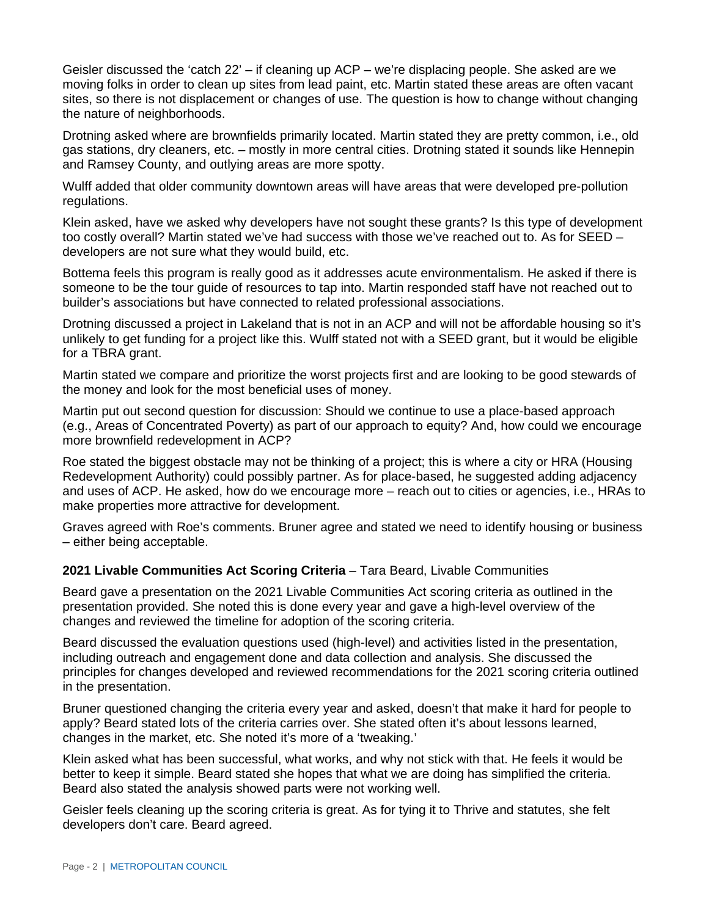Geisler discussed the 'catch  $22'$  – if cleaning up ACP – we're displacing people. She asked are we moving folks in order to clean up sites from lead paint, etc. Martin stated these areas are often vacant sites, so there is not displacement or changes of use. The question is how to change without changing the nature of neighborhoods.

Drotning asked where are brownfields primarily located. Martin stated they are pretty common, i.e., old gas stations, dry cleaners, etc. – mostly in more central cities. Drotning stated it sounds like Hennepin and Ramsey County, and outlying areas are more spotty.

Wulff added that older community downtown areas will have areas that were developed pre-pollution regulations.

Klein asked, have we asked why developers have not sought these grants? Is this type of development too costly overall? Martin stated we've had success with those we've reached out to. As for SEED – developers are not sure what they would build, etc.

Bottema feels this program is really good as it addresses acute environmentalism. He asked if there is someone to be the tour guide of resources to tap into. Martin responded staff have not reached out to builder's associations but have connected to related professional associations.

Drotning discussed a project in Lakeland that is not in an ACP and will not be affordable housing so it's unlikely to get funding for a project like this. Wulff stated not with a SEED grant, but it would be eligible for a TBRA grant.

Martin stated we compare and prioritize the worst projects first and are looking to be good stewards of the money and look for the most beneficial uses of money.

Martin put out second question for discussion: Should we continue to use a place-based approach (e.g., Areas of Concentrated Poverty) as part of our approach to equity? And, how could we encourage more brownfield redevelopment in ACP?

Roe stated the biggest obstacle may not be thinking of a project; this is where a city or HRA (Housing Redevelopment Authority) could possibly partner. As for place-based, he suggested adding adjacency and uses of ACP. He asked, how do we encourage more – reach out to cities or agencies, i.e., HRAs to make properties more attractive for development.

Graves agreed with Roe's comments. Bruner agree and stated we need to identify housing or business – either being acceptable.

#### **2021 Livable Communities Act Scoring Criteria** – Tara Beard, Livable Communities

Beard gave a presentation on the 2021 Livable Communities Act scoring criteria as outlined in the presentation provided. She noted this is done every year and gave a high-level overview of the changes and reviewed the timeline for adoption of the scoring criteria.

Beard discussed the evaluation questions used (high-level) and activities listed in the presentation, including outreach and engagement done and data collection and analysis. She discussed the principles for changes developed and reviewed recommendations for the 2021 scoring criteria outlined in the presentation.

Bruner questioned changing the criteria every year and asked, doesn't that make it hard for people to apply? Beard stated lots of the criteria carries over. She stated often it's about lessons learned, changes in the market, etc. She noted it's more of a 'tweaking.'

Klein asked what has been successful, what works, and why not stick with that. He feels it would be better to keep it simple. Beard stated she hopes that what we are doing has simplified the criteria. Beard also stated the analysis showed parts were not working well.

Geisler feels cleaning up the scoring criteria is great. As for tying it to Thrive and statutes, she felt developers don't care. Beard agreed.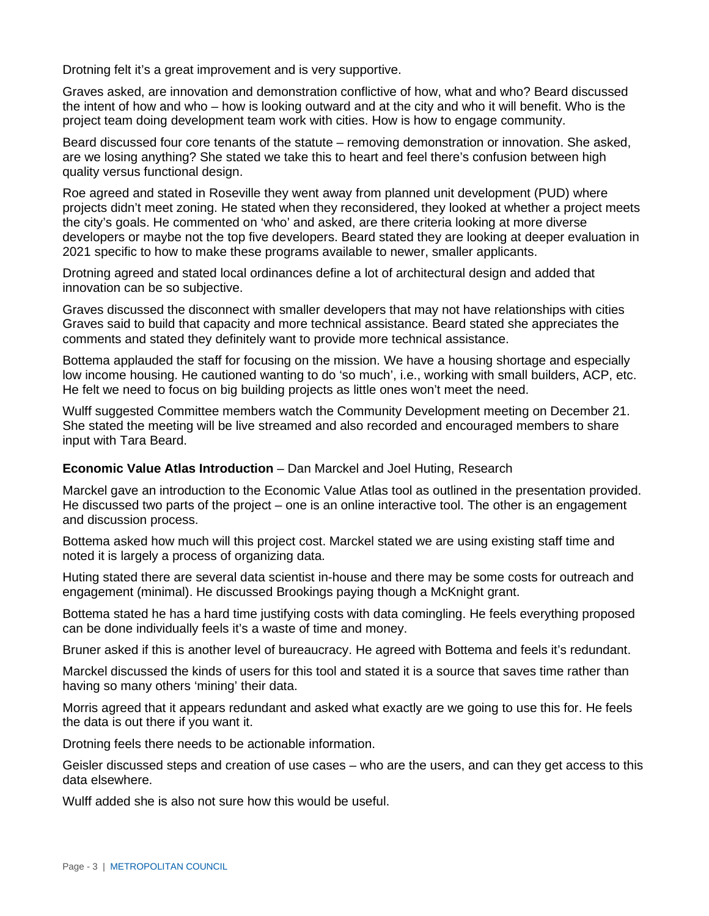Drotning felt it's a great improvement and is very supportive.

Graves asked, are innovation and demonstration conflictive of how, what and who? Beard discussed the intent of how and who – how is looking outward and at the city and who it will benefit. Who is the project team doing development team work with cities. How is how to engage community.

Beard discussed four core tenants of the statute – removing demonstration or innovation. She asked, are we losing anything? She stated we take this to heart and feel there's confusion between high quality versus functional design.

Roe agreed and stated in Roseville they went away from planned unit development (PUD) where projects didn't meet zoning. He stated when they reconsidered, they looked at whether a project meets the city's goals. He commented on 'who' and asked, are there criteria looking at more diverse developers or maybe not the top five developers. Beard stated they are looking at deeper evaluation in 2021 specific to how to make these programs available to newer, smaller applicants.

Drotning agreed and stated local ordinances define a lot of architectural design and added that innovation can be so subjective.

Graves discussed the disconnect with smaller developers that may not have relationships with cities Graves said to build that capacity and more technical assistance. Beard stated she appreciates the comments and stated they definitely want to provide more technical assistance.

Bottema applauded the staff for focusing on the mission. We have a housing shortage and especially low income housing. He cautioned wanting to do 'so much', i.e., working with small builders, ACP, etc. He felt we need to focus on big building projects as little ones won't meet the need.

Wulff suggested Committee members watch the Community Development meeting on December 21. She stated the meeting will be live streamed and also recorded and encouraged members to share input with Tara Beard.

#### **Economic Value Atlas Introduction** – Dan Marckel and Joel Huting, Research

Marckel gave an introduction to the Economic Value Atlas tool as outlined in the presentation provided. He discussed two parts of the project – one is an online interactive tool. The other is an engagement and discussion process.

Bottema asked how much will this project cost. Marckel stated we are using existing staff time and noted it is largely a process of organizing data.

Huting stated there are several data scientist in-house and there may be some costs for outreach and engagement (minimal). He discussed Brookings paying though a McKnight grant.

Bottema stated he has a hard time justifying costs with data comingling. He feels everything proposed can be done individually feels it's a waste of time and money.

Bruner asked if this is another level of bureaucracy. He agreed with Bottema and feels it's redundant.

Marckel discussed the kinds of users for this tool and stated it is a source that saves time rather than having so many others 'mining' their data.

Morris agreed that it appears redundant and asked what exactly are we going to use this for. He feels the data is out there if you want it.

Drotning feels there needs to be actionable information.

Geisler discussed steps and creation of use cases – who are the users, and can they get access to this data elsewhere.

Wulff added she is also not sure how this would be useful.